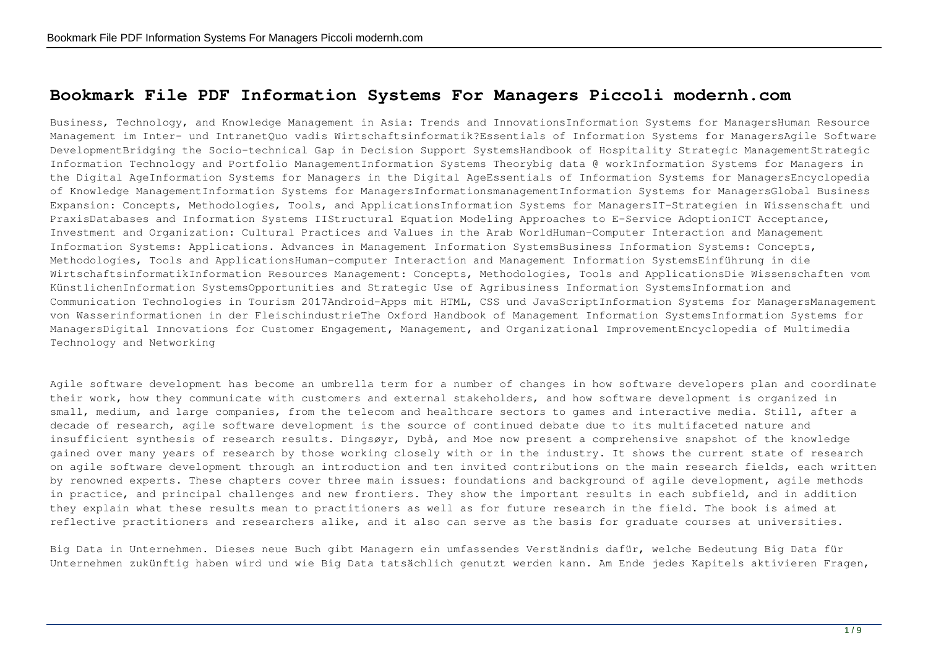## **Bookmark File PDF Information Systems For Managers Piccoli modernh.com**

Business, Technology, and Knowledge Management in Asia: Trends and InnovationsInformation Systems for ManagersHuman Resource Management im Inter- und IntranetQuo vadis Wirtschaftsinformatik?Essentials of Information Systems for ManagersAgile Software DevelopmentBridging the Socio-technical Gap in Decision Support SystemsHandbook of Hospitality Strategic ManagementStrategic Information Technology and Portfolio ManagementInformation Systems Theorybig data @ workInformation Systems for Managers in the Digital AgeInformation Systems for Managers in the Digital AgeEssentials of Information Systems for ManagersEncyclopedia of Knowledge ManagementInformation Systems for ManagersInformationsmanagementInformation Systems for ManagersGlobal Business Expansion: Concepts, Methodologies, Tools, and ApplicationsInformation Systems for ManagersIT-Strategien in Wissenschaft und PraxisDatabases and Information Systems IIStructural Equation Modeling Approaches to E-Service AdoptionICT Acceptance, Investment and Organization: Cultural Practices and Values in the Arab WorldHuman-Computer Interaction and Management Information Systems: Applications. Advances in Management Information SystemsBusiness Information Systems: Concepts, Methodologies, Tools and ApplicationsHuman-computer Interaction and Management Information SystemsEinführung in die WirtschaftsinformatikInformation Resources Management: Concepts, Methodologies, Tools and ApplicationsDie Wissenschaften vom KünstlichenInformation SystemsOpportunities and Strategic Use of Agribusiness Information SystemsInformation and Communication Technologies in Tourism 2017Android-Apps mit HTML, CSS und JavaScriptInformation Systems for ManagersManagement von Wasserinformationen in der FleischindustrieThe Oxford Handbook of Management Information SystemsInformation Systems for ManagersDigital Innovations for Customer Engagement, Management, and Organizational ImprovementEncyclopedia of Multimedia Technology and Networking

Agile software development has become an umbrella term for a number of changes in how software developers plan and coordinate their work, how they communicate with customers and external stakeholders, and how software development is organized in small, medium, and large companies, from the telecom and healthcare sectors to games and interactive media. Still, after a decade of research, agile software development is the source of continued debate due to its multifaceted nature and insufficient synthesis of research results. Dingsøyr, Dybå, and Moe now present a comprehensive snapshot of the knowledge gained over many years of research by those working closely with or in the industry. It shows the current state of research on agile software development through an introduction and ten invited contributions on the main research fields, each written by renowned experts. These chapters cover three main issues: foundations and background of agile development, agile methods in practice, and principal challenges and new frontiers. They show the important results in each subfield, and in addition they explain what these results mean to practitioners as well as for future research in the field. The book is aimed at reflective practitioners and researchers alike, and it also can serve as the basis for graduate courses at universities.

Big Data in Unternehmen. Dieses neue Buch gibt Managern ein umfassendes Verständnis dafür, welche Bedeutung Big Data für Unternehmen zukünftig haben wird und wie Big Data tatsächlich genutzt werden kann. Am Ende jedes Kapitels aktivieren Fragen,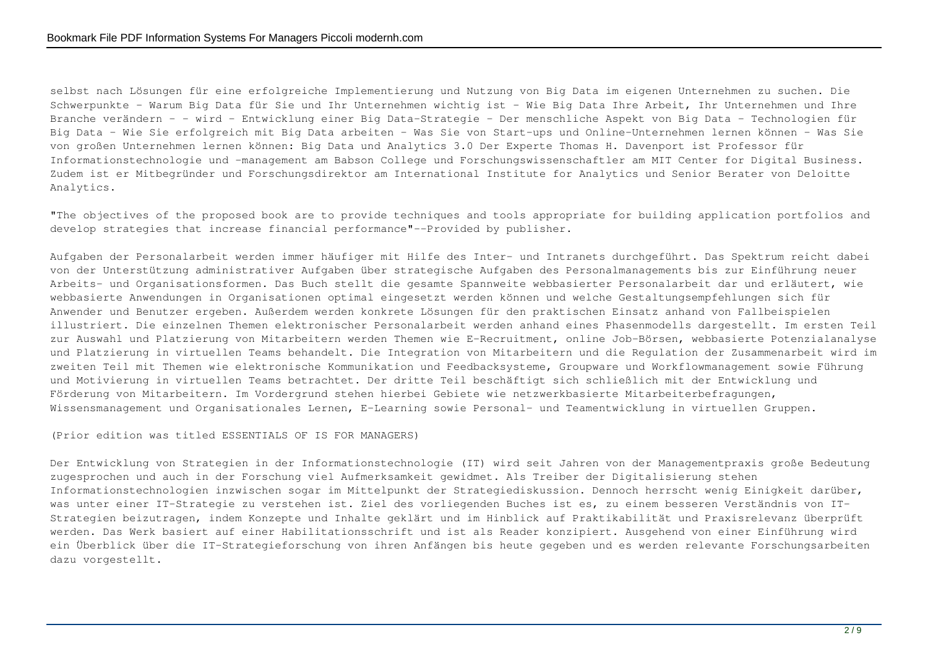selbst nach Lösungen für eine erfolgreiche Implementierung und Nutzung von Big Data im eigenen Unternehmen zu suchen. Die Schwerpunkte - Warum Big Data für Sie und Ihr Unternehmen wichtig ist - Wie Big Data Ihre Arbeit, Ihr Unternehmen und Ihre Branche verändern - - wird - Entwicklung einer Big Data-Strategie - Der menschliche Aspekt von Big Data - Technologien für Big Data - Wie Sie erfolgreich mit Big Data arbeiten - Was Sie von Start-ups und Online-Unternehmen lernen können - Was Sie von großen Unternehmen lernen können: Big Data und Analytics 3.0 Der Experte Thomas H. Davenport ist Professor für Informationstechnologie und -management am Babson College und Forschungswissenschaftler am MIT Center for Digital Business. Zudem ist er Mitbegründer und Forschungsdirektor am International Institute for Analytics und Senior Berater von Deloitte Analytics.

"The objectives of the proposed book are to provide techniques and tools appropriate for building application portfolios and develop strategies that increase financial performance"--Provided by publisher.

Aufgaben der Personalarbeit werden immer häufiger mit Hilfe des Inter- und Intranets durchgeführt. Das Spektrum reicht dabei von der Unterstützung administrativer Aufgaben über strategische Aufgaben des Personalmanagements bis zur Einführung neuer Arbeits- und Organisationsformen. Das Buch stellt die gesamte Spannweite webbasierter Personalarbeit dar und erläutert, wie webbasierte Anwendungen in Organisationen optimal eingesetzt werden können und welche Gestaltungsempfehlungen sich für Anwender und Benutzer ergeben. Außerdem werden konkrete Lösungen für den praktischen Einsatz anhand von Fallbeispielen illustriert. Die einzelnen Themen elektronischer Personalarbeit werden anhand eines Phasenmodells dargestellt. Im ersten Teil zur Auswahl und Platzierung von Mitarbeitern werden Themen wie E-Recruitment, online Job-Börsen, webbasierte Potenzialanalyse und Platzierung in virtuellen Teams behandelt. Die Integration von Mitarbeitern und die Regulation der Zusammenarbeit wird im zweiten Teil mit Themen wie elektronische Kommunikation und Feedbacksysteme, Groupware und Workflowmanagement sowie Führung und Motivierung in virtuellen Teams betrachtet. Der dritte Teil beschäftigt sich schließlich mit der Entwicklung und Förderung von Mitarbeitern. Im Vordergrund stehen hierbei Gebiete wie netzwerkbasierte Mitarbeiterbefragungen, Wissensmanagement und Organisationales Lernen, E-Learning sowie Personal- und Teamentwicklung in virtuellen Gruppen.

(Prior edition was titled ESSENTIALS OF IS FOR MANAGERS)

Der Entwicklung von Strategien in der Informationstechnologie (IT) wird seit Jahren von der Managementpraxis große Bedeutung zugesprochen und auch in der Forschung viel Aufmerksamkeit gewidmet. Als Treiber der Digitalisierung stehen Informationstechnologien inzwischen sogar im Mittelpunkt der Strategiediskussion. Dennoch herrscht wenig Einigkeit darüber, was unter einer IT-Strategie zu verstehen ist. Ziel des vorliegenden Buches ist es, zu einem besseren Verständnis von IT-Strategien beizutragen, indem Konzepte und Inhalte geklärt und im Hinblick auf Praktikabilität und Praxisrelevanz überprüft werden. Das Werk basiert auf einer Habilitationsschrift und ist als Reader konzipiert. Ausgehend von einer Einführung wird ein Überblick über die IT-Strategieforschung von ihren Anfängen bis heute gegeben und es werden relevante Forschungsarbeiten dazu vorgestellt.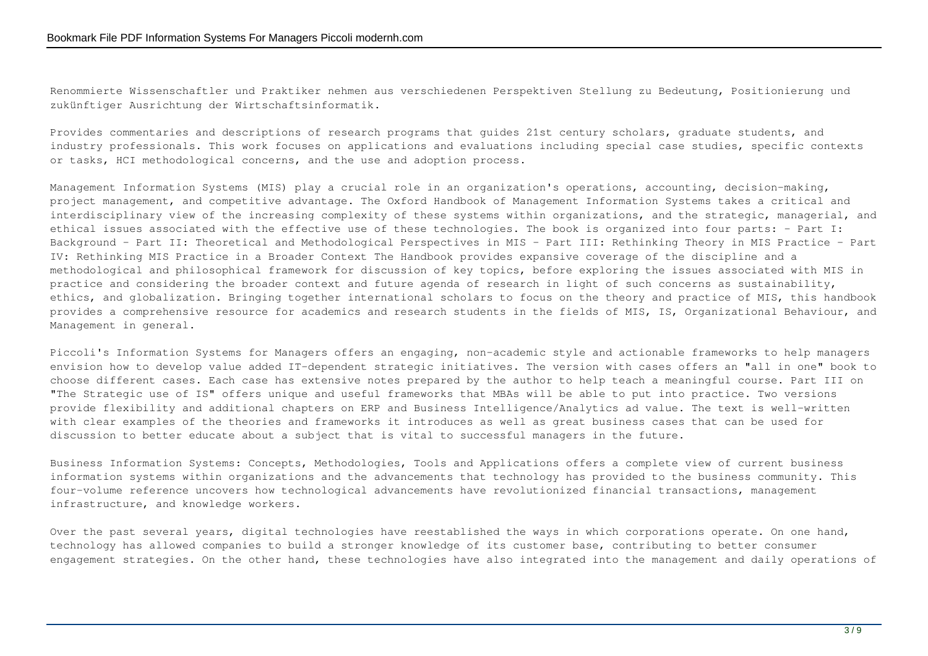Renommierte Wissenschaftler und Praktiker nehmen aus verschiedenen Perspektiven Stellung zu Bedeutung, Positionierung und zukünftiger Ausrichtung der Wirtschaftsinformatik.

Provides commentaries and descriptions of research programs that guides 21st century scholars, graduate students, and industry professionals. This work focuses on applications and evaluations including special case studies, specific contexts or tasks, HCI methodological concerns, and the use and adoption process.

Management Information Systems (MIS) play a crucial role in an organization's operations, accounting, decision-making, project management, and competitive advantage. The Oxford Handbook of Management Information Systems takes a critical and interdisciplinary view of the increasing complexity of these systems within organizations, and the strategic, managerial, and ethical issues associated with the effective use of these technologies. The book is organized into four parts: - Part I: Background - Part II: Theoretical and Methodological Perspectives in MIS - Part III: Rethinking Theory in MIS Practice - Part IV: Rethinking MIS Practice in a Broader Context The Handbook provides expansive coverage of the discipline and a methodological and philosophical framework for discussion of key topics, before exploring the issues associated with MIS in practice and considering the broader context and future agenda of research in light of such concerns as sustainability, ethics, and globalization. Bringing together international scholars to focus on the theory and practice of MIS, this handbook provides a comprehensive resource for academics and research students in the fields of MIS, IS, Organizational Behaviour, and Management in general.

Piccoli's Information Systems for Managers offers an engaging, non-academic style and actionable frameworks to help managers envision how to develop value added IT-dependent strategic initiatives. The version with cases offers an "all in one" book to choose different cases. Each case has extensive notes prepared by the author to help teach a meaningful course. Part III on "The Strategic use of IS" offers unique and useful frameworks that MBAs will be able to put into practice. Two versions provide flexibility and additional chapters on ERP and Business Intelligence/Analytics ad value. The text is well-written with clear examples of the theories and frameworks it introduces as well as great business cases that can be used for discussion to better educate about a subject that is vital to successful managers in the future.

Business Information Systems: Concepts, Methodologies, Tools and Applications offers a complete view of current business information systems within organizations and the advancements that technology has provided to the business community. This four-volume reference uncovers how technological advancements have revolutionized financial transactions, management infrastructure, and knowledge workers.

Over the past several years, digital technologies have reestablished the ways in which corporations operate. On one hand, technology has allowed companies to build a stronger knowledge of its customer base, contributing to better consumer engagement strategies. On the other hand, these technologies have also integrated into the management and daily operations of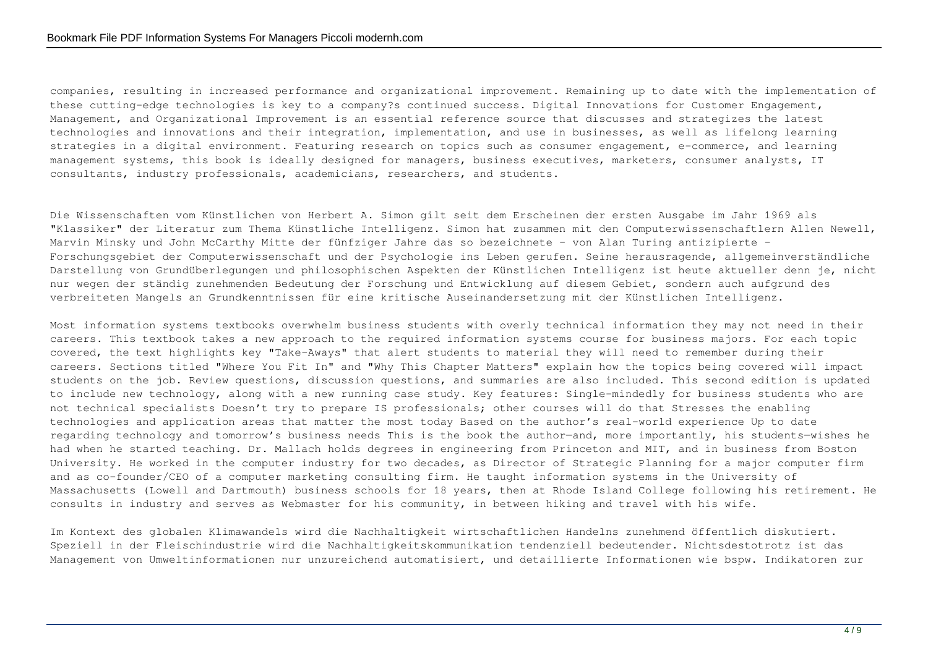companies, resulting in increased performance and organizational improvement. Remaining up to date with the implementation of these cutting-edge technologies is key to a company?s continued success. Digital Innovations for Customer Engagement, Management, and Organizational Improvement is an essential reference source that discusses and strategizes the latest technologies and innovations and their integration, implementation, and use in businesses, as well as lifelong learning strategies in a digital environment. Featuring research on topics such as consumer engagement, e-commerce, and learning management systems, this book is ideally designed for managers, business executives, marketers, consumer analysts, IT consultants, industry professionals, academicians, researchers, and students.

Die Wissenschaften vom Künstlichen von Herbert A. Simon gilt seit dem Erscheinen der ersten Ausgabe im Jahr 1969 als "Klassiker" der Literatur zum Thema Künstliche Intelligenz. Simon hat zusammen mit den Computerwissenschaftlern Allen Newell, Marvin Minsky und John McCarthy Mitte der fünfziger Jahre das so bezeichnete - von Alan Turing antizipierte -Forschungsgebiet der Computerwissenschaft und der Psychologie ins Leben gerufen. Seine herausragende, allgemeinverständliche Darstellung von Grundüberlegungen und philosophischen Aspekten der Künstlichen Intelligenz ist heute aktueller denn je, nicht nur wegen der ständig zunehmenden Bedeutung der Forschung und Entwicklung auf diesem Gebiet, sondern auch aufgrund des verbreiteten Mangels an Grundkenntnissen für eine kritische Auseinandersetzung mit der Künstlichen Intelligenz.

Most information systems textbooks overwhelm business students with overly technical information they may not need in their careers. This textbook takes a new approach to the required information systems course for business majors. For each topic covered, the text highlights key "Take-Aways" that alert students to material they will need to remember during their careers. Sections titled "Where You Fit In" and "Why This Chapter Matters" explain how the topics being covered will impact students on the job. Review questions, discussion questions, and summaries are also included. This second edition is updated to include new technology, along with a new running case study. Key features: Single-mindedly for business students who are not technical specialists Doesn't try to prepare IS professionals; other courses will do that Stresses the enabling technologies and application areas that matter the most today Based on the author's real-world experience Up to date regarding technology and tomorrow's business needs This is the book the author—and, more importantly, his students—wishes he had when he started teaching. Dr. Mallach holds degrees in engineering from Princeton and MIT, and in business from Boston University. He worked in the computer industry for two decades, as Director of Strategic Planning for a major computer firm and as co-founder/CEO of a computer marketing consulting firm. He taught information systems in the University of Massachusetts (Lowell and Dartmouth) business schools for 18 years, then at Rhode Island College following his retirement. He consults in industry and serves as Webmaster for his community, in between hiking and travel with his wife.

Im Kontext des globalen Klimawandels wird die Nachhaltigkeit wirtschaftlichen Handelns zunehmend öffentlich diskutiert. Speziell in der Fleischindustrie wird die Nachhaltigkeitskommunikation tendenziell bedeutender. Nichtsdestotrotz ist das Management von Umweltinformationen nur unzureichend automatisiert, und detaillierte Informationen wie bspw. Indikatoren zur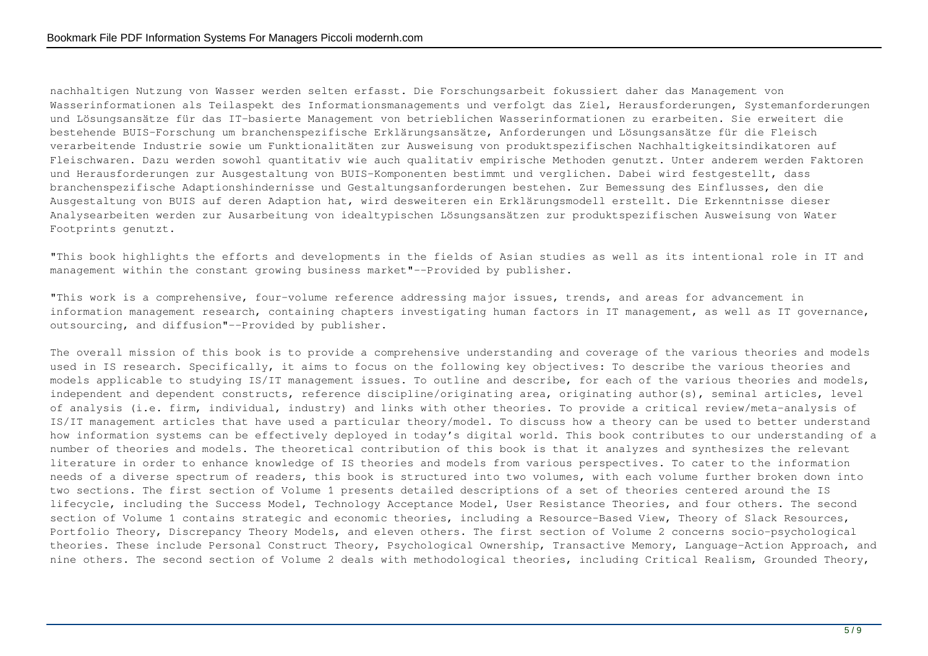nachhaltigen Nutzung von Wasser werden selten erfasst. Die Forschungsarbeit fokussiert daher das Management von Wasserinformationen als Teilaspekt des Informationsmanagements und verfolgt das Ziel, Herausforderungen, Systemanforderungen und Lösungsansätze für das IT-basierte Management von betrieblichen Wasserinformationen zu erarbeiten. Sie erweitert die bestehende BUIS-Forschung um branchenspezifische Erklärungsansätze, Anforderungen und Lösungsansätze für die Fleisch verarbeitende Industrie sowie um Funktionalitäten zur Ausweisung von produktspezifischen Nachhaltigkeitsindikatoren auf Fleischwaren. Dazu werden sowohl quantitativ wie auch qualitativ empirische Methoden genutzt. Unter anderem werden Faktoren und Herausforderungen zur Ausgestaltung von BUIS-Komponenten bestimmt und verglichen. Dabei wird festgestellt, dass branchenspezifische Adaptionshindernisse und Gestaltungsanforderungen bestehen. Zur Bemessung des Einflusses, den die Ausgestaltung von BUIS auf deren Adaption hat, wird desweiteren ein Erklärungsmodell erstellt. Die Erkenntnisse dieser Analysearbeiten werden zur Ausarbeitung von idealtypischen Lösungsansätzen zur produktspezifischen Ausweisung von Water Footprints genutzt.

"This book highlights the efforts and developments in the fields of Asian studies as well as its intentional role in IT and management within the constant growing business market"--Provided by publisher.

"This work is a comprehensive, four-volume reference addressing major issues, trends, and areas for advancement in information management research, containing chapters investigating human factors in IT management, as well as IT governance, outsourcing, and diffusion"--Provided by publisher.

The overall mission of this book is to provide a comprehensive understanding and coverage of the various theories and models used in IS research. Specifically, it aims to focus on the following key objectives: To describe the various theories and models applicable to studying IS/IT management issues. To outline and describe, for each of the various theories and models, independent and dependent constructs, reference discipline/originating area, originating author(s), seminal articles, level of analysis (i.e. firm, individual, industry) and links with other theories. To provide a critical review/meta-analysis of IS/IT management articles that have used a particular theory/model. To discuss how a theory can be used to better understand how information systems can be effectively deployed in today's digital world. This book contributes to our understanding of a number of theories and models. The theoretical contribution of this book is that it analyzes and synthesizes the relevant literature in order to enhance knowledge of IS theories and models from various perspectives. To cater to the information needs of a diverse spectrum of readers, this book is structured into two volumes, with each volume further broken down into two sections. The first section of Volume 1 presents detailed descriptions of a set of theories centered around the IS lifecycle, including the Success Model, Technology Acceptance Model, User Resistance Theories, and four others. The second section of Volume 1 contains strategic and economic theories, including a Resource-Based View, Theory of Slack Resources, Portfolio Theory, Discrepancy Theory Models, and eleven others. The first section of Volume 2 concerns socio-psychological theories. These include Personal Construct Theory, Psychological Ownership, Transactive Memory, Language-Action Approach, and nine others. The second section of Volume 2 deals with methodological theories, including Critical Realism, Grounded Theory,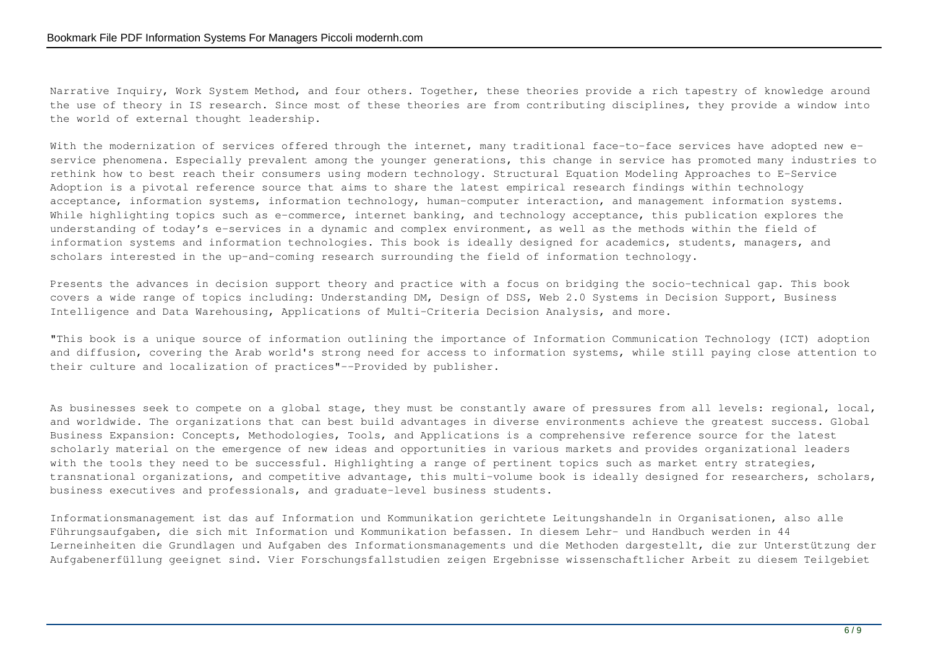Narrative Inquiry, Work System Method, and four others. Together, these theories provide a rich tapestry of knowledge around the use of theory in IS research. Since most of these theories are from contributing disciplines, they provide a window into the world of external thought leadership.

With the modernization of services offered through the internet, many traditional face-to-face services have adopted new eservice phenomena. Especially prevalent among the younger generations, this change in service has promoted many industries to rethink how to best reach their consumers using modern technology. Structural Equation Modeling Approaches to E-Service Adoption is a pivotal reference source that aims to share the latest empirical research findings within technology acceptance, information systems, information technology, human-computer interaction, and management information systems. While highlighting topics such as e-commerce, internet banking, and technology acceptance, this publication explores the understanding of today's e-services in a dynamic and complex environment, as well as the methods within the field of information systems and information technologies. This book is ideally designed for academics, students, managers, and scholars interested in the up-and-coming research surrounding the field of information technology.

Presents the advances in decision support theory and practice with a focus on bridging the socio-technical gap. This book covers a wide range of topics including: Understanding DM, Design of DSS, Web 2.0 Systems in Decision Support, Business Intelligence and Data Warehousing, Applications of Multi-Criteria Decision Analysis, and more.

"This book is a unique source of information outlining the importance of Information Communication Technology (ICT) adoption and diffusion, covering the Arab world's strong need for access to information systems, while still paying close attention to their culture and localization of practices"--Provided by publisher.

As businesses seek to compete on a global stage, they must be constantly aware of pressures from all levels: regional, local, and worldwide. The organizations that can best build advantages in diverse environments achieve the greatest success. Global Business Expansion: Concepts, Methodologies, Tools, and Applications is a comprehensive reference source for the latest scholarly material on the emergence of new ideas and opportunities in various markets and provides organizational leaders with the tools they need to be successful. Highlighting a range of pertinent topics such as market entry strategies, transnational organizations, and competitive advantage, this multi-volume book is ideally designed for researchers, scholars, business executives and professionals, and graduate-level business students.

Informationsmanagement ist das auf Information und Kommunikation gerichtete Leitungshandeln in Organisationen, also alle Führungsaufgaben, die sich mit Information und Kommunikation befassen. In diesem Lehr- und Handbuch werden in 44 Lerneinheiten die Grundlagen und Aufgaben des Informationsmanagements und die Methoden dargestellt, die zur Unterstützung der Aufgabenerfüllung geeignet sind. Vier Forschungsfallstudien zeigen Ergebnisse wissenschaftlicher Arbeit zu diesem Teilgebiet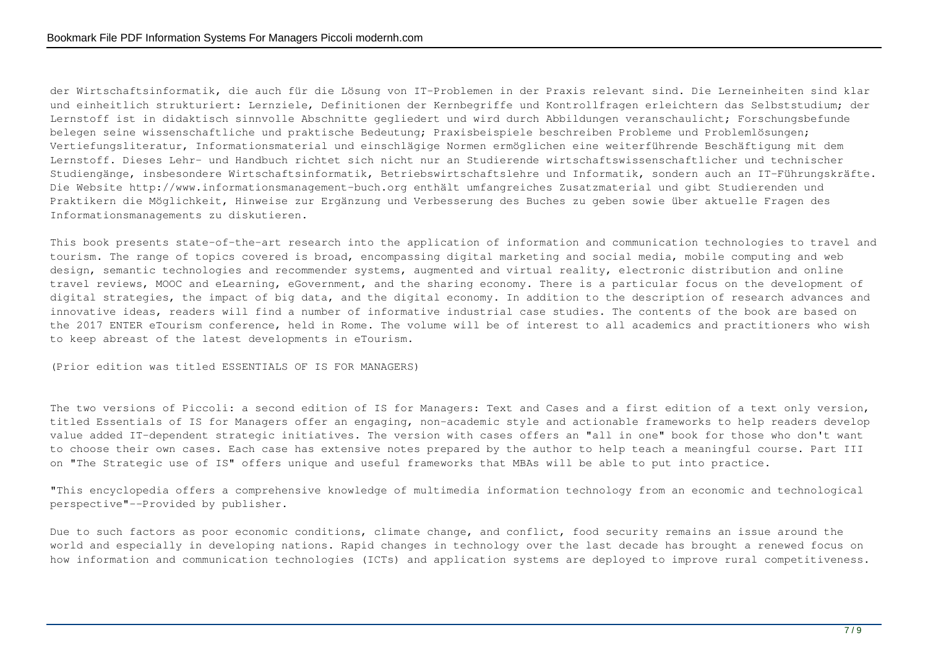der Wirtschaftsinformatik, die auch für die Lösung von IT-Problemen in der Praxis relevant sind. Die Lerneinheiten sind klar und einheitlich strukturiert: Lernziele, Definitionen der Kernbegriffe und Kontrollfragen erleichtern das Selbststudium; der Lernstoff ist in didaktisch sinnvolle Abschnitte gegliedert und wird durch Abbildungen veranschaulicht; Forschungsbefunde belegen seine wissenschaftliche und praktische Bedeutung; Praxisbeispiele beschreiben Probleme und Problemlösungen; Vertiefungsliteratur, Informationsmaterial und einschlägige Normen ermöglichen eine weiterführende Beschäftigung mit dem Lernstoff. Dieses Lehr- und Handbuch richtet sich nicht nur an Studierende wirtschaftswissenschaftlicher und technischer Studiengänge, insbesondere Wirtschaftsinformatik, Betriebswirtschaftslehre und Informatik, sondern auch an IT-Führungskräfte. Die Website http://www.informationsmanagement-buch.org enthält umfangreiches Zusatzmaterial und gibt Studierenden und Praktikern die Möglichkeit, Hinweise zur Ergänzung und Verbesserung des Buches zu geben sowie über aktuelle Fragen des Informationsmanagements zu diskutieren.

This book presents state-of-the-art research into the application of information and communication technologies to travel and tourism. The range of topics covered is broad, encompassing digital marketing and social media, mobile computing and web design, semantic technologies and recommender systems, augmented and virtual reality, electronic distribution and online travel reviews, MOOC and eLearning, eGovernment, and the sharing economy. There is a particular focus on the development of digital strategies, the impact of big data, and the digital economy. In addition to the description of research advances and innovative ideas, readers will find a number of informative industrial case studies. The contents of the book are based on the 2017 ENTER eTourism conference, held in Rome. The volume will be of interest to all academics and practitioners who wish to keep abreast of the latest developments in eTourism.

(Prior edition was titled ESSENTIALS OF IS FOR MANAGERS)

The two versions of Piccoli: a second edition of IS for Managers: Text and Cases and a first edition of a text only version, titled Essentials of IS for Managers offer an engaging, non-academic style and actionable frameworks to help readers develop value added IT-dependent strategic initiatives. The version with cases offers an "all in one" book for those who don't want to choose their own cases. Each case has extensive notes prepared by the author to help teach a meaningful course. Part III on "The Strategic use of IS" offers unique and useful frameworks that MBAs will be able to put into practice.

"This encyclopedia offers a comprehensive knowledge of multimedia information technology from an economic and technological perspective"--Provided by publisher.

Due to such factors as poor economic conditions, climate change, and conflict, food security remains an issue around the world and especially in developing nations. Rapid changes in technology over the last decade has brought a renewed focus on how information and communication technologies (ICTs) and application systems are deployed to improve rural competitiveness.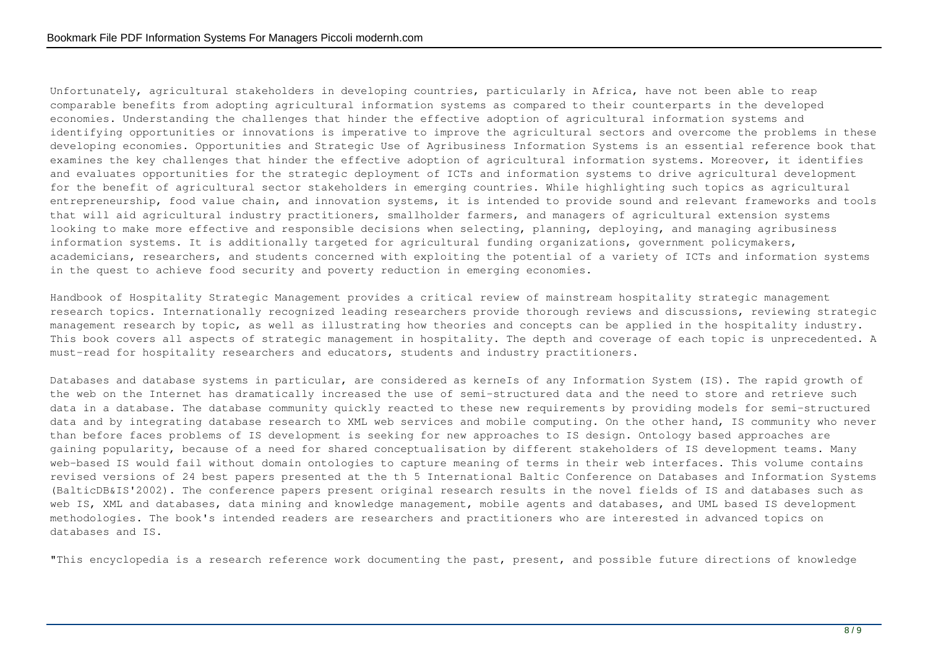Unfortunately, agricultural stakeholders in developing countries, particularly in Africa, have not been able to reap comparable benefits from adopting agricultural information systems as compared to their counterparts in the developed economies. Understanding the challenges that hinder the effective adoption of agricultural information systems and identifying opportunities or innovations is imperative to improve the agricultural sectors and overcome the problems in these developing economies. Opportunities and Strategic Use of Agribusiness Information Systems is an essential reference book that examines the key challenges that hinder the effective adoption of agricultural information systems. Moreover, it identifies and evaluates opportunities for the strategic deployment of ICTs and information systems to drive agricultural development for the benefit of agricultural sector stakeholders in emerging countries. While highlighting such topics as agricultural entrepreneurship, food value chain, and innovation systems, it is intended to provide sound and relevant frameworks and tools that will aid agricultural industry practitioners, smallholder farmers, and managers of agricultural extension systems looking to make more effective and responsible decisions when selecting, planning, deploying, and managing agribusiness information systems. It is additionally targeted for agricultural funding organizations, government policymakers, academicians, researchers, and students concerned with exploiting the potential of a variety of ICTs and information systems in the quest to achieve food security and poverty reduction in emerging economies.

Handbook of Hospitality Strategic Management provides a critical review of mainstream hospitality strategic management research topics. Internationally recognized leading researchers provide thorough reviews and discussions, reviewing strategic management research by topic, as well as illustrating how theories and concepts can be applied in the hospitality industry. This book covers all aspects of strategic management in hospitality. The depth and coverage of each topic is unprecedented. A must-read for hospitality researchers and educators, students and industry practitioners.

Databases and database systems in particular, are considered as kerneIs of any Information System (IS). The rapid growth of the web on the Internet has dramatically increased the use of semi-structured data and the need to store and retrieve such data in a database. The database community quickly reacted to these new requirements by providing models for semi-structured data and by integrating database research to XML web services and mobile computing. On the other hand, IS community who never than before faces problems of IS development is seeking for new approaches to IS design. Ontology based approaches are gaining popularity, because of a need for shared conceptualisation by different stakeholders of IS development teams. Many web-based IS would fail without domain ontologies to capture meaning of terms in their web interfaces. This volume contains revised versions of 24 best papers presented at the th 5 International Baltic Conference on Databases and Information Systems (BalticDB&IS'2002). The conference papers present original research results in the novel fields of IS and databases such as web IS, XML and databases, data mining and knowledge management, mobile agents and databases, and UML based IS development methodologies. The book's intended readers are researchers and practitioners who are interested in advanced topics on databases and IS.

"This encyclopedia is a research reference work documenting the past, present, and possible future directions of knowledge